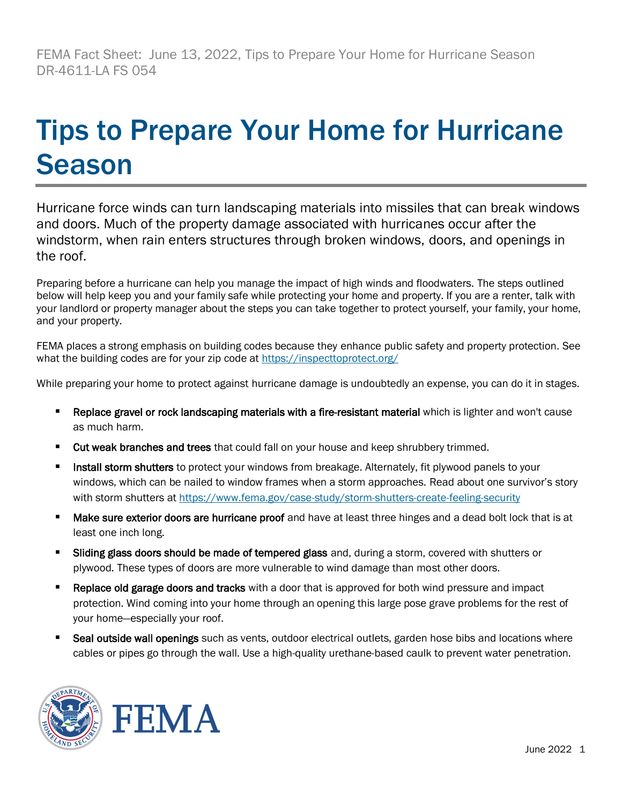FEMA Fact Sheet: June 13, 2022, Tips to Prepare Your Home for Hurricane Season DR-4611-LA FS 054

## Tips to Prepare Your Home for Hurricane Season

Hurricane force winds can turn landscaping materials into missiles that can break windows and doors. Much of the property damage associated with hurricanes occur after the windstorm, when rain enters structures through broken windows, doors, and openings in the roof.

Preparing before a hurricane can help you manage the impact of high winds and floodwaters. The steps outlined below will help keep you and your family safe while protecting your home and property. If you are a renter, talk with your landlord or property manager about the steps you can take together to protect yourself, your family, your home, and your property.

FEMA places a strong emphasis on building codes because they enhance public safety and property protection. See what the building codes are for your zip code at <https://inspecttoprotect.org/>

While preparing your home to protect against hurricane damage is undoubtedly an expense, you can do it in stages.

- Replace gravel or rock landscaping materials with a fire-resistant material which is lighter and won't cause as much harm.
- Cut weak branches and trees that could fall on your house and keep shrubbery trimmed.
- Install storm shutters to protect your windows from breakage. Alternately, fit plywood panels to your windows, which can be nailed to window frames when a storm approaches. Read about one survivor's story with storm shutters at <https://www.fema.gov/case-study/storm-shutters-create-feeling-security>
- Make sure exterior doors are hurricane proof and have at least three hinges and a dead bolt lock that is at least one inch long.
- Sliding glass doors should be made of tempered glass and, during a storm, covered with shutters or plywood. These types of doors are more vulnerable to wind damage than most other doors.
- **Replace old garage doors and tracks** with a door that is approved for both wind pressure and impact protection. Wind coming into your home through an opening this large pose grave problems for the rest of your home—especially your roof.
- Seal outside wall openings such as vents, outdoor electrical outlets, garden hose bibs and locations where cables or pipes go through the wall. Use a high-quality urethane-based caulk to prevent water penetration.